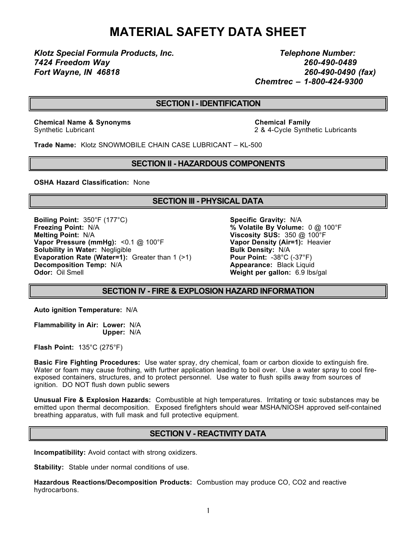# **MATERIAL SAFETY DATA SHEET**

*Klotz Special Formula Products, Inc. Telephone Number: 7424 Freedom Way 260-490-0489 Fort Wayne, IN 46818 260-490-0490 (fax)*

*Chemtrec – 1-800-424-9300*

### **SECTION I - IDENTIFICATION**

**Chemical Name & Synonyms Chemical Family**

Synthetic Lubricant 2 & 4-Cycle Synthetic Lubricants

**Trade Name:** Klotz SNOWMOBILE CHAIN CASE LUBRICANT – KL-500

#### **SECTION II - HAZARDOUS COMPONENTS**

**OSHA Hazard Classification:** None

#### **SECTION III - PHYSICAL DATA**

**Boiling Point:** 350°F (177°C) **Specific Gravity:** N/A **Freezing Point:** N/A **Freezing Point:** N/A **Melting Point:** N/A **Viscosity SUS:** 350 @ 100°F **Vapor Pressure (mmHg):** <0.1 @ 100°F **Vapor Density (Air=1):** Heavier **Solubility in Water:** Negligible **Bulk Density: N/A Evaporation Rate (Water=1):** Greater than 1 (>1) **Pour Point:** -38°C (-37°F) **Decomposition Temp:** N/A **Appearance:** Black Liquid **Odor:** Oil Smell **Appearance:** Black Liquid **Odor:** Oil Smell

 $\%$  Volatile By Volume: 0 @ 100°F **Weight per gallon:** 6.9 lbs/gal

#### **SECTION IV - FIRE & EXPLOSION HAZARD INFORMATION**

**Auto ignition Temperature:** N/A

**Flammability in Air: Lower:** N/A **Upper:** N/A

**Flash Point:** 135°C (275°F)

**Basic Fire Fighting Procedures:** Use water spray, dry chemical, foam or carbon dioxide to extinguish fire. Water or foam may cause frothing, with further application leading to boil over. Use a water spray to cool fireexposed containers, structures, and to protect personnel. Use water to flush spills away from sources of ignition. DO NOT flush down public sewers

**Unusual Fire & Explosion Hazards:** Combustible at high temperatures. Irritating or toxic substances may be emitted upon thermal decomposition. Exposed firefighters should wear MSHA/NIOSH approved self-contained breathing apparatus, with full mask and full protective equipment.

#### **SECTION V - REACTIVITY DATA**

**Incompatibility:** Avoid contact with strong oxidizers.

**Stability:** Stable under normal conditions of use.

**Hazardous Reactions/Decomposition Products:** Combustion may produce CO, CO2 and reactive hydrocarbons.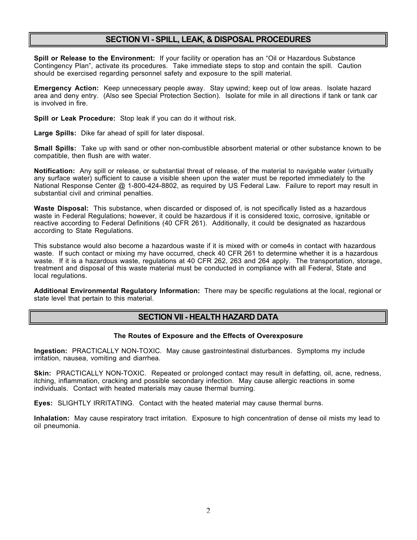#### **SECTION VI - SPILL, LEAK, & DISPOSAL PROCEDURES**

**Spill or Release to the Environment:** If your facility or operation has an "Oil or Hazardous Substance Contingency Plan", activate its procedures. Take immediate steps to stop and contain the spill. Caution should be exercised regarding personnel safety and exposure to the spill material.

**Emergency Action:** Keep unnecessary people away. Stay upwind; keep out of low areas. Isolate hazard area and deny entry. (Also see Special Protection Section). Isolate for mile in all directions if tank or tank car is involved in fire.

**Spill or Leak Procedure:** Stop leak if you can do it without risk.

**Large Spills:** Dike far ahead of spill for later disposal.

**Small Spills:** Take up with sand or other non-combustible absorbent material or other substance known to be compatible, then flush are with water.

**Notification:** Any spill or release, or substantial threat of release, of the material to navigable water (virtually any surface water) sufficient to cause a visible sheen upon the water must be reported immediately to the National Response Center @ 1-800-424-8802, as required by US Federal Law. Failure to report may result in substantial civil and criminal penalties.

**Waste Disposal:** This substance, when discarded or disposed of, is not specifically listed as a hazardous waste in Federal Regulations; however, it could be hazardous if it is considered toxic, corrosive, ignitable or reactive according to Federal Definitions (40 CFR 261). Additionally, it could be designated as hazardous according to State Regulations.

This substance would also become a hazardous waste if it is mixed with or come4s in contact with hazardous waste. If such contact or mixing my have occurred, check 40 CFR 261 to determine whether it is a hazardous waste. If it is a hazardous waste, regulations at 40 CFR 262, 263 and 264 apply. The transportation, storage, treatment and disposal of this waste material must be conducted in compliance with all Federal, State and local regulations.

**Additional Environmental Regulatory Information:** There may be specific regulations at the local, regional or state level that pertain to this material.

#### **SECTION VII - HEALTH HAZARD DATA**

#### **The Routes of Exposure and the Effects of Overexposure**

**Ingestion:** PRACTICALLY NON-TOXIC. May cause gastrointestinal disturbances. Symptoms my include irritation, nausea, vomiting and diarrhea.

**Skin:** PRACTICALLY NON-TOXIC. Repeated or prolonged contact may result in defatting, oil, acne, redness, itching, inflammation, cracking and possible secondary infection. May cause allergic reactions in some individuals. Contact with heated materials may cause thermal burning.

**Eyes:** SLIGHTLY IRRITATING. Contact with the heated material may cause thermal burns.

**Inhalation:** May cause respiratory tract irritation. Exposure to high concentration of dense oil mists my lead to oil pneumonia.